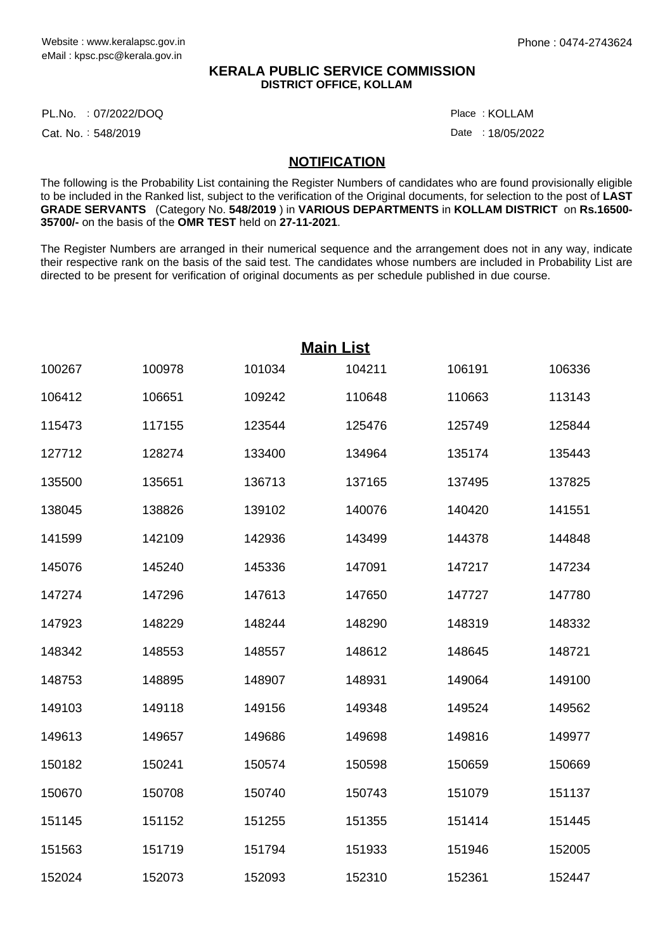## **KERALA PUBLIC SERVICE COMMISSION DISTRICT OFFICE, KOLLAM**

PL.No. :07/2022/DOQ Place

Cat. No.: 548/2019

KOLLAM :

Date: 18/05/2022

## **NOTIFICATION**

The following is the Probability List containing the Register Numbers of candidates who are found provisionally eligible to be included in the Ranked list, subject to the verification of the Original documents, for selection to the post of **LAST GRADE SERVANTS** (Category No. **548/2019** ) in **VARIOUS DEPARTMENTS** in **KOLLAM DISTRICT** on **Rs.16500- 35700/-** on the basis of the **OMR TEST** held on **27-11-2021**.

The Register Numbers are arranged in their numerical sequence and the arrangement does not in any way, indicate their respective rank on the basis of the said test. The candidates whose numbers are included in Probability List are directed to be present for verification of original documents as per schedule published in due course.

| <b>Main List</b> |        |        |        |        |        |  |  |
|------------------|--------|--------|--------|--------|--------|--|--|
| 100267           | 100978 | 101034 | 104211 | 106191 | 106336 |  |  |
| 106412           | 106651 | 109242 | 110648 | 110663 | 113143 |  |  |
| 115473           | 117155 | 123544 | 125476 | 125749 | 125844 |  |  |
| 127712           | 128274 | 133400 | 134964 | 135174 | 135443 |  |  |
| 135500           | 135651 | 136713 | 137165 | 137495 | 137825 |  |  |
| 138045           | 138826 | 139102 | 140076 | 140420 | 141551 |  |  |
| 141599           | 142109 | 142936 | 143499 | 144378 | 144848 |  |  |
| 145076           | 145240 | 145336 | 147091 | 147217 | 147234 |  |  |
| 147274           | 147296 | 147613 | 147650 | 147727 | 147780 |  |  |
| 147923           | 148229 | 148244 | 148290 | 148319 | 148332 |  |  |
| 148342           | 148553 | 148557 | 148612 | 148645 | 148721 |  |  |
| 148753           | 148895 | 148907 | 148931 | 149064 | 149100 |  |  |
| 149103           | 149118 | 149156 | 149348 | 149524 | 149562 |  |  |
| 149613           | 149657 | 149686 | 149698 | 149816 | 149977 |  |  |
| 150182           | 150241 | 150574 | 150598 | 150659 | 150669 |  |  |
| 150670           | 150708 | 150740 | 150743 | 151079 | 151137 |  |  |
| 151145           | 151152 | 151255 | 151355 | 151414 | 151445 |  |  |
| 151563           | 151719 | 151794 | 151933 | 151946 | 152005 |  |  |
| 152024           | 152073 | 152093 | 152310 | 152361 | 152447 |  |  |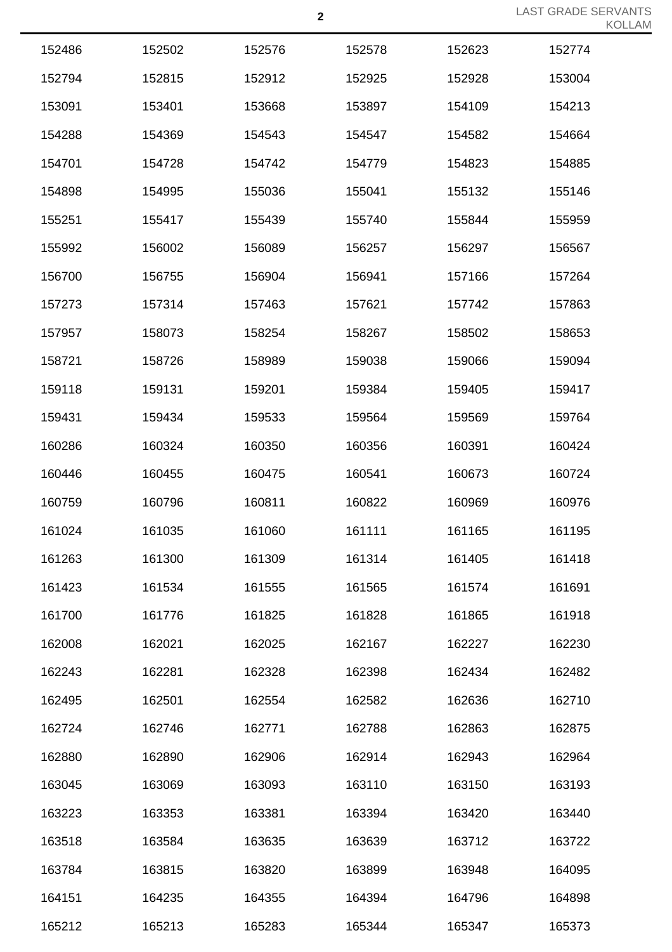| 152486 | 152502 | 152576 | 152578 | 152623 | 152774 |
|--------|--------|--------|--------|--------|--------|
| 152794 | 152815 | 152912 | 152925 | 152928 | 153004 |
| 153091 | 153401 | 153668 | 153897 | 154109 | 154213 |
| 154288 | 154369 | 154543 | 154547 | 154582 | 154664 |
| 154701 | 154728 | 154742 | 154779 | 154823 | 154885 |
| 154898 | 154995 | 155036 | 155041 | 155132 | 155146 |
| 155251 | 155417 | 155439 | 155740 | 155844 | 155959 |
| 155992 | 156002 | 156089 | 156257 | 156297 | 156567 |
| 156700 | 156755 | 156904 | 156941 | 157166 | 157264 |
| 157273 | 157314 | 157463 | 157621 | 157742 | 157863 |
| 157957 | 158073 | 158254 | 158267 | 158502 | 158653 |
| 158721 | 158726 | 158989 | 159038 | 159066 | 159094 |
| 159118 | 159131 | 159201 | 159384 | 159405 | 159417 |
| 159431 | 159434 | 159533 | 159564 | 159569 | 159764 |
| 160286 | 160324 | 160350 | 160356 | 160391 | 160424 |
| 160446 | 160455 | 160475 | 160541 | 160673 | 160724 |
| 160759 | 160796 | 160811 | 160822 | 160969 | 160976 |
| 161024 | 161035 | 161060 | 161111 | 161165 | 161195 |
| 161263 | 161300 | 161309 | 161314 | 161405 | 161418 |
| 161423 | 161534 | 161555 | 161565 | 161574 | 161691 |
| 161700 | 161776 | 161825 | 161828 | 161865 | 161918 |
| 162008 | 162021 | 162025 | 162167 | 162227 | 162230 |
| 162243 | 162281 | 162328 | 162398 | 162434 | 162482 |
| 162495 | 162501 | 162554 | 162582 | 162636 | 162710 |
| 162724 | 162746 | 162771 | 162788 | 162863 | 162875 |
| 162880 | 162890 | 162906 | 162914 | 162943 | 162964 |
| 163045 | 163069 | 163093 | 163110 | 163150 | 163193 |
| 163223 | 163353 | 163381 | 163394 | 163420 | 163440 |
| 163518 | 163584 | 163635 | 163639 | 163712 | 163722 |
| 163784 | 163815 | 163820 | 163899 | 163948 | 164095 |
| 164151 | 164235 | 164355 | 164394 | 164796 | 164898 |
| 165212 | 165213 | 165283 | 165344 | 165347 | 165373 |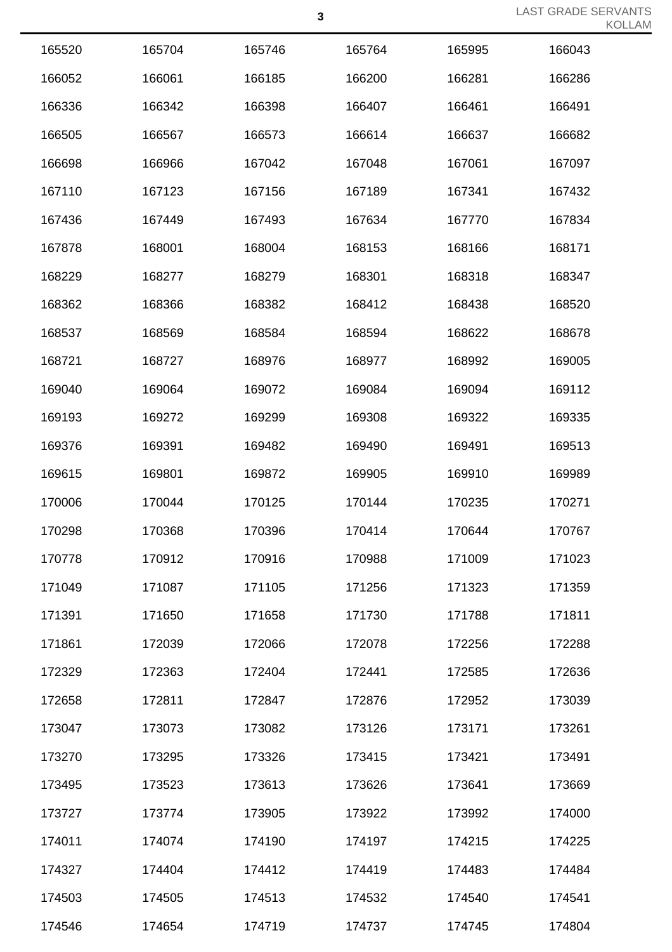|        |        |        | $\mathbf 3$ |        | LAST GRADE SEF |
|--------|--------|--------|-------------|--------|----------------|
| 165520 | 165704 | 165746 | 165764      | 165995 | 166043         |
| 166052 | 166061 | 166185 | 166200      | 166281 | 166286         |
| 166336 | 166342 | 166398 | 166407      | 166461 | 166491         |
| 166505 | 166567 | 166573 | 166614      | 166637 | 166682         |
| 166698 | 166966 | 167042 | 167048      | 167061 | 167097         |
| 167110 | 167123 | 167156 | 167189      | 167341 | 167432         |
| 167436 | 167449 | 167493 | 167634      | 167770 | 167834         |
| 167878 | 168001 | 168004 | 168153      | 168166 | 168171         |
| 168229 | 168277 | 168279 | 168301      | 168318 | 168347         |
| 168362 | 168366 | 168382 | 168412      | 168438 | 168520         |
| 168537 | 168569 | 168584 | 168594      | 168622 | 168678         |
| 168721 | 168727 | 168976 | 168977      | 168992 | 169005         |
| 169040 | 169064 | 169072 | 169084      | 169094 | 169112         |
| 169193 | 169272 | 169299 | 169308      | 169322 | 169335         |
| 169376 | 169391 | 169482 | 169490      | 169491 | 169513         |
| 169615 | 169801 | 169872 | 169905      | 169910 | 169989         |
| 170006 | 170044 | 170125 | 170144      | 170235 | 170271         |
| 170298 | 170368 | 170396 | 170414      | 170644 | 170767         |
| 170778 | 170912 | 170916 | 170988      | 171009 | 171023         |
| 171049 | 171087 | 171105 | 171256      | 171323 | 171359         |
| 171391 | 171650 | 171658 | 171730      | 171788 | 171811         |
| 171861 | 172039 | 172066 | 172078      | 172256 | 172288         |
| 172329 | 172363 | 172404 | 172441      | 172585 | 172636         |
| 172658 | 172811 | 172847 | 172876      | 172952 | 173039         |
| 173047 | 173073 | 173082 | 173126      | 173171 | 173261         |
| 173270 | 173295 | 173326 | 173415      | 173421 | 173491         |
| 173495 | 173523 | 173613 | 173626      | 173641 | 173669         |
| 173727 | 173774 | 173905 | 173922      | 173992 | 174000         |
| 174011 | 174074 | 174190 | 174197      | 174215 | 174225         |
| 174327 | 174404 | 174412 | 174419      | 174483 | 174484         |
| 174503 | 174505 | 174513 | 174532      | 174540 | 174541         |
| 174546 | 174654 | 174719 | 174737      | 174745 | 174804         |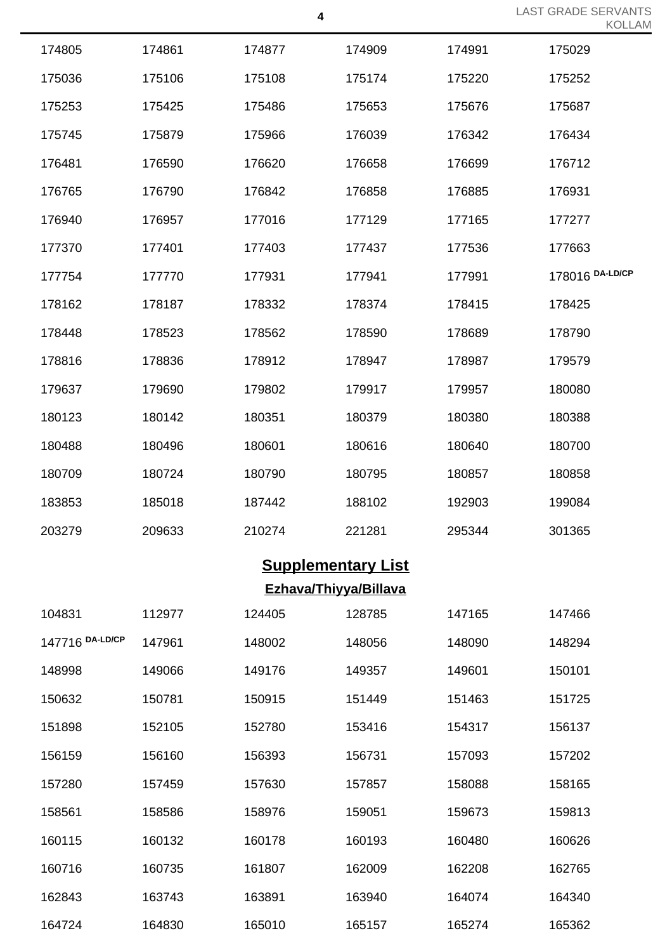| 174805 | 174861 | 174877 | 174909 | 174991 | 175029          |
|--------|--------|--------|--------|--------|-----------------|
| 175036 | 175106 | 175108 | 175174 | 175220 | 175252          |
| 175253 | 175425 | 175486 | 175653 | 175676 | 175687          |
| 175745 | 175879 | 175966 | 176039 | 176342 | 176434          |
| 176481 | 176590 | 176620 | 176658 | 176699 | 176712          |
| 176765 | 176790 | 176842 | 176858 | 176885 | 176931          |
| 176940 | 176957 | 177016 | 177129 | 177165 | 177277          |
| 177370 | 177401 | 177403 | 177437 | 177536 | 177663          |
| 177754 | 177770 | 177931 | 177941 | 177991 | 178016 DA-LD/CP |
| 178162 | 178187 | 178332 | 178374 | 178415 | 178425          |
| 178448 | 178523 | 178562 | 178590 | 178689 | 178790          |
| 178816 | 178836 | 178912 | 178947 | 178987 | 179579          |
| 179637 | 179690 | 179802 | 179917 | 179957 | 180080          |
| 180123 | 180142 | 180351 | 180379 | 180380 | 180388          |
| 180488 | 180496 | 180601 | 180616 | 180640 | 180700          |
| 180709 | 180724 | 180790 | 180795 | 180857 | 180858          |
| 183853 | 185018 | 187442 | 188102 | 192903 | 199084          |
| 203279 | 209633 | 210274 | 221281 | 295344 | 301365          |
|        |        |        |        |        |                 |

## **Supplementary List Ezhava/Thiyya/Billava**

| 104831          | 112977 | 124405 | 128785 | 147165 | 147466 |
|-----------------|--------|--------|--------|--------|--------|
| 147716 DA-LD/CP | 147961 | 148002 | 148056 | 148090 | 148294 |
| 148998          | 149066 | 149176 | 149357 | 149601 | 150101 |
| 150632          | 150781 | 150915 | 151449 | 151463 | 151725 |
| 151898          | 152105 | 152780 | 153416 | 154317 | 156137 |
| 156159          | 156160 | 156393 | 156731 | 157093 | 157202 |
| 157280          | 157459 | 157630 | 157857 | 158088 | 158165 |
| 158561          | 158586 | 158976 | 159051 | 159673 | 159813 |
| 160115          | 160132 | 160178 | 160193 | 160480 | 160626 |
| 160716          | 160735 | 161807 | 162009 | 162208 | 162765 |
| 162843          | 163743 | 163891 | 163940 | 164074 | 164340 |
| 164724          | 164830 | 165010 | 165157 | 165274 | 165362 |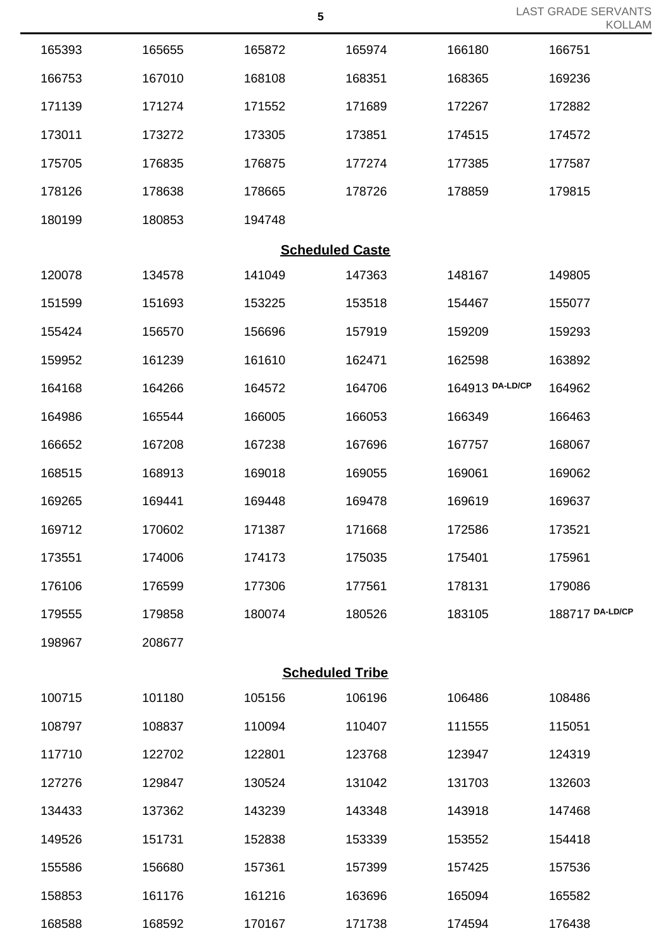|        |        |        | $\overline{\mathbf{5}}$ |                 | <b>LAST GRADE SERVANTS</b><br><b>KOLLAM</b> |
|--------|--------|--------|-------------------------|-----------------|---------------------------------------------|
| 165393 | 165655 | 165872 | 165974                  | 166180          | 166751                                      |
| 166753 | 167010 | 168108 | 168351                  | 168365          | 169236                                      |
| 171139 | 171274 | 171552 | 171689                  | 172267          | 172882                                      |
| 173011 | 173272 | 173305 | 173851                  | 174515          | 174572                                      |
| 175705 | 176835 | 176875 | 177274                  | 177385          | 177587                                      |
| 178126 | 178638 | 178665 | 178726                  | 178859          | 179815                                      |
| 180199 | 180853 | 194748 |                         |                 |                                             |
|        |        |        | <b>Scheduled Caste</b>  |                 |                                             |
| 120078 | 134578 | 141049 | 147363                  | 148167          | 149805                                      |
| 151599 | 151693 | 153225 | 153518                  | 154467          | 155077                                      |
| 155424 | 156570 | 156696 | 157919                  | 159209          | 159293                                      |
| 159952 | 161239 | 161610 | 162471                  | 162598          | 163892                                      |
| 164168 | 164266 | 164572 | 164706                  | 164913 DA-LD/CP | 164962                                      |
| 164986 | 165544 | 166005 | 166053                  | 166349          | 166463                                      |
| 166652 | 167208 | 167238 | 167696                  | 167757          | 168067                                      |
| 168515 | 168913 | 169018 | 169055                  | 169061          | 169062                                      |
| 169265 | 169441 | 169448 | 169478                  | 169619          | 169637                                      |
| 169712 | 170602 | 171387 | 171668                  | 172586          | 173521                                      |
| 173551 | 174006 | 174173 | 175035                  | 175401          | 175961                                      |
| 176106 | 176599 | 177306 | 177561                  | 178131          | 179086                                      |
| 179555 | 179858 | 180074 | 180526                  | 183105          | 188717 DA-LD/CP                             |
| 198967 | 208677 |        |                         |                 |                                             |
|        |        |        | <b>Scheduled Tribe</b>  |                 |                                             |
| 100715 | 101180 | 105156 | 106196                  | 106486          | 108486                                      |
| 108797 | 108837 | 110094 | 110407                  | 111555          | 115051                                      |
| 117710 | 122702 | 122801 | 123768                  | 123947          | 124319                                      |
| 127276 | 129847 | 130524 | 131042                  | 131703          | 132603                                      |
| 134433 | 137362 | 143239 | 143348                  | 143918          | 147468                                      |
| 149526 | 151731 | 152838 | 153339                  | 153552          | 154418                                      |
| 155586 | 156680 | 157361 | 157399                  | 157425          | 157536                                      |
| 158853 | 161176 | 161216 | 163696                  | 165094          | 165582                                      |
| 168588 | 168592 | 170167 | 171738                  | 174594          | 176438                                      |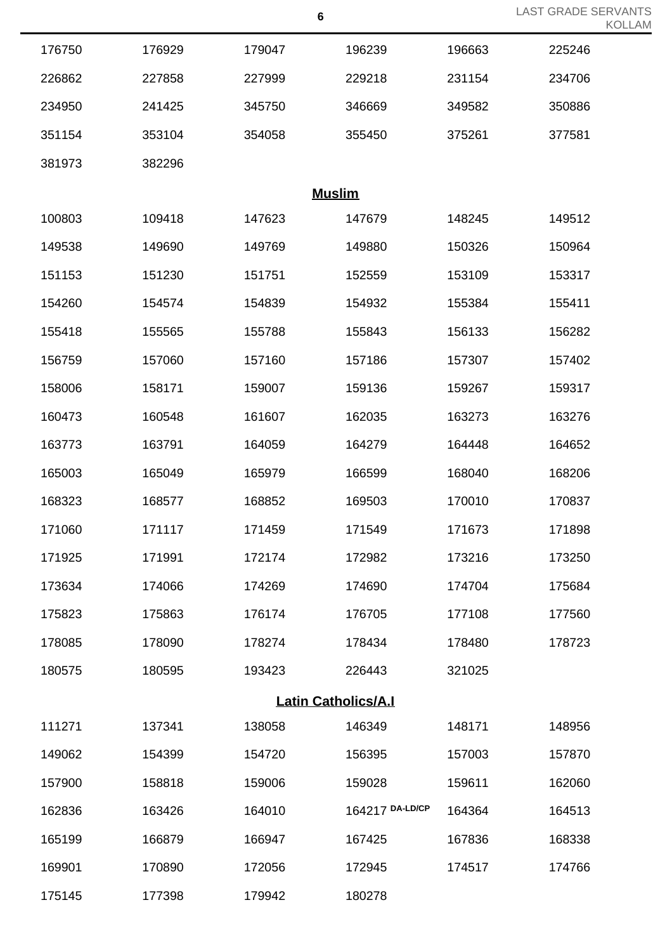|               |        |        | $\bf 6$                    |        | <b>LAST GRADE SERVANTS</b><br><b>KOLLAM</b> |  |  |  |  |
|---------------|--------|--------|----------------------------|--------|---------------------------------------------|--|--|--|--|
| 176750        | 176929 | 179047 | 196239                     | 196663 | 225246                                      |  |  |  |  |
| 226862        | 227858 | 227999 | 229218                     | 231154 | 234706                                      |  |  |  |  |
| 234950        | 241425 | 345750 | 346669                     | 349582 | 350886                                      |  |  |  |  |
| 351154        | 353104 | 354058 | 355450                     | 375261 | 377581                                      |  |  |  |  |
| 381973        | 382296 |        |                            |        |                                             |  |  |  |  |
| <b>Muslim</b> |        |        |                            |        |                                             |  |  |  |  |
| 100803        | 109418 | 147623 | 147679                     | 148245 | 149512                                      |  |  |  |  |
| 149538        | 149690 | 149769 | 149880                     | 150326 | 150964                                      |  |  |  |  |
| 151153        | 151230 | 151751 | 152559                     | 153109 | 153317                                      |  |  |  |  |
| 154260        | 154574 | 154839 | 154932                     | 155384 | 155411                                      |  |  |  |  |
| 155418        | 155565 | 155788 | 155843                     | 156133 | 156282                                      |  |  |  |  |
| 156759        | 157060 | 157160 | 157186                     | 157307 | 157402                                      |  |  |  |  |
| 158006        | 158171 | 159007 | 159136                     | 159267 | 159317                                      |  |  |  |  |
| 160473        | 160548 | 161607 | 162035                     | 163273 | 163276                                      |  |  |  |  |
| 163773        | 163791 | 164059 | 164279                     | 164448 | 164652                                      |  |  |  |  |
| 165003        | 165049 | 165979 | 166599                     | 168040 | 168206                                      |  |  |  |  |
| 168323        | 168577 | 168852 | 169503                     | 170010 | 170837                                      |  |  |  |  |
| 171060        | 171117 | 171459 | 171549                     | 171673 | 171898                                      |  |  |  |  |
| 171925        | 171991 | 172174 | 172982                     | 173216 | 173250                                      |  |  |  |  |
| 173634        | 174066 | 174269 | 174690                     | 174704 | 175684                                      |  |  |  |  |
| 175823        | 175863 | 176174 | 176705                     | 177108 | 177560                                      |  |  |  |  |
| 178085        | 178090 | 178274 | 178434                     | 178480 | 178723                                      |  |  |  |  |
| 180575        | 180595 | 193423 | 226443                     | 321025 |                                             |  |  |  |  |
|               |        |        | <b>Latin Catholics/A.I</b> |        |                                             |  |  |  |  |
| 111271        | 137341 | 138058 | 146349                     | 148171 | 148956                                      |  |  |  |  |
| 149062        | 154399 | 154720 | 156395                     | 157003 | 157870                                      |  |  |  |  |
| 157900        | 158818 | 159006 | 159028                     | 159611 | 162060                                      |  |  |  |  |
| 162836        | 163426 | 164010 | 164217 DA-LD/CP            | 164364 | 164513                                      |  |  |  |  |
| 165199        | 166879 | 166947 | 167425                     | 167836 | 168338                                      |  |  |  |  |
| 169901        | 170890 | 172056 | 172945                     | 174517 | 174766                                      |  |  |  |  |
| 175145        | 177398 | 179942 | 180278                     |        |                                             |  |  |  |  |

LAST GRADE SERVANTS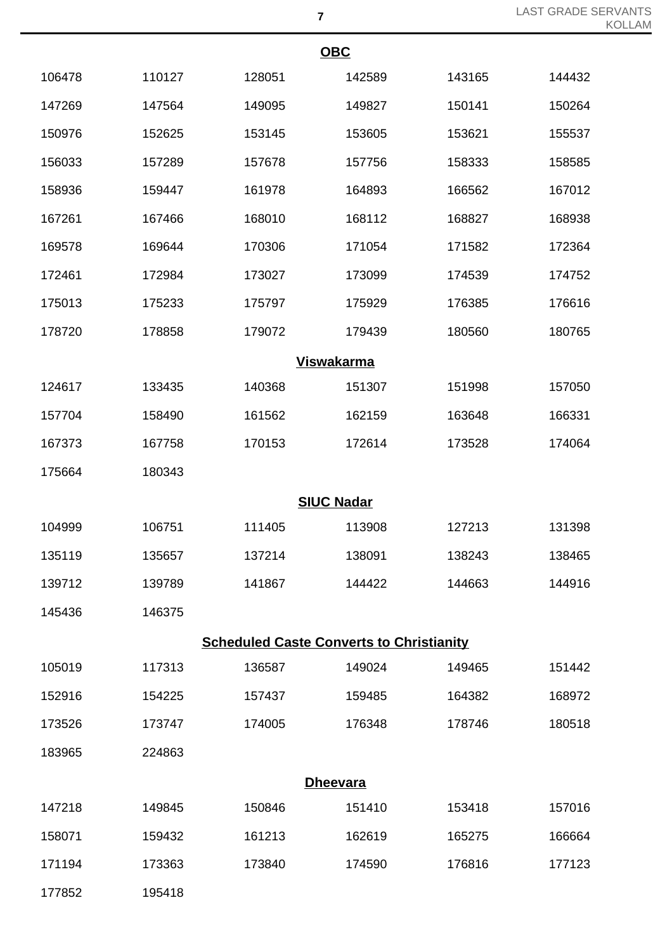| <b>OBC</b> |        |                   |                                                 |        |        |  |  |
|------------|--------|-------------------|-------------------------------------------------|--------|--------|--|--|
| 106478     | 110127 | 128051            | 142589                                          | 143165 | 144432 |  |  |
| 147269     | 147564 | 149095            | 149827                                          | 150141 | 150264 |  |  |
| 150976     | 152625 | 153145            | 153605                                          | 153621 | 155537 |  |  |
| 156033     | 157289 | 157678            | 157756                                          | 158333 | 158585 |  |  |
| 158936     | 159447 | 161978            | 164893                                          | 166562 | 167012 |  |  |
| 167261     | 167466 | 168010            | 168112                                          | 168827 | 168938 |  |  |
| 169578     | 169644 | 170306            | 171054                                          | 171582 | 172364 |  |  |
| 172461     | 172984 | 173027            | 173099                                          | 174539 | 174752 |  |  |
| 175013     | 175233 | 175797            | 175929                                          | 176385 | 176616 |  |  |
| 178720     | 178858 | 179072            | 179439                                          | 180560 | 180765 |  |  |
|            |        | <u>Viswakarma</u> |                                                 |        |        |  |  |
| 124617     | 133435 | 140368            | 151307                                          | 151998 | 157050 |  |  |
| 157704     | 158490 | 161562            | 162159                                          | 163648 | 166331 |  |  |
| 167373     | 167758 | 170153            | 172614                                          | 173528 | 174064 |  |  |
| 175664     | 180343 |                   |                                                 |        |        |  |  |
|            |        | <b>SIUC Nadar</b> |                                                 |        |        |  |  |
| 104999     | 106751 | 111405            | 113908                                          | 127213 | 131398 |  |  |
| 135119     | 135657 | 137214            | 138091                                          | 138243 | 138465 |  |  |
| 139712     | 139789 | 141867            | 144422                                          | 144663 | 144916 |  |  |
| 145436     | 146375 |                   |                                                 |        |        |  |  |
|            |        |                   | <b>Scheduled Caste Converts to Christianity</b> |        |        |  |  |
| 105019     | 117313 | 136587            | 149024                                          | 149465 | 151442 |  |  |
| 152916     | 154225 | 157437            | 159485                                          | 164382 | 168972 |  |  |
| 173526     | 173747 | 174005            | 176348                                          | 178746 | 180518 |  |  |
| 183965     | 224863 |                   |                                                 |        |        |  |  |
|            |        | <b>Dheevara</b>   |                                                 |        |        |  |  |
| 147218     | 149845 | 150846            | 151410                                          | 153418 | 157016 |  |  |
| 158071     | 159432 | 161213            | 162619                                          | 165275 | 166664 |  |  |
| 171194     | 173363 | 173840            | 174590                                          | 176816 | 177123 |  |  |

195418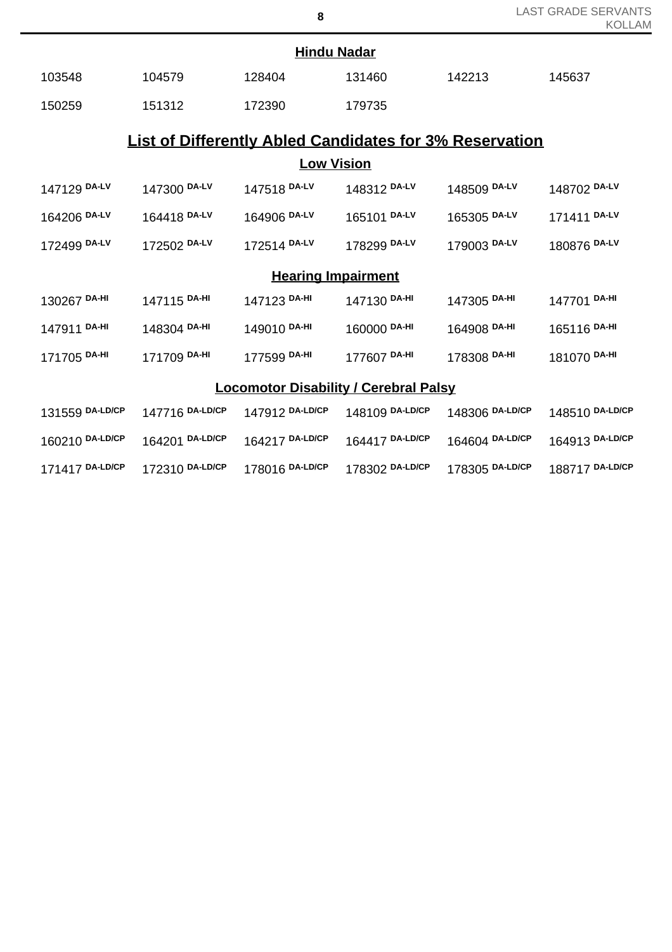| <b>Hindu Nadar</b>                           |                                                                |                           |                 |                 |                 |  |  |  |
|----------------------------------------------|----------------------------------------------------------------|---------------------------|-----------------|-----------------|-----------------|--|--|--|
| 103548                                       | 104579                                                         | 128404                    | 131460          | 142213          | 145637          |  |  |  |
| 150259                                       | 151312                                                         | 172390                    | 179735          |                 |                 |  |  |  |
|                                              | <b>List of Differently Abled Candidates for 3% Reservation</b> |                           |                 |                 |                 |  |  |  |
|                                              | <u>Low Vision</u>                                              |                           |                 |                 |                 |  |  |  |
| 147129 DA-LV                                 | 147300 DA-LV                                                   | 147518 DA-LV              | 148312 DA-LV    | 148509 DA-LV    | 148702 DA-LV    |  |  |  |
| 164206 DA-LV                                 | 164418 DA-LV                                                   | 164906 DA-LV              | 165101 DA-LV    | 165305 DA-LV    | 171411 DA-LV    |  |  |  |
| 172499 DA-LV                                 | 172502 DA-LV                                                   | 172514 DA-LV              | 178299 DA-LV    | 179003 DA-LV    | 180876 DA-LV    |  |  |  |
|                                              |                                                                | <b>Hearing Impairment</b> |                 |                 |                 |  |  |  |
| 130267 DA-HI                                 | 147115 DA-HI                                                   | 147123 DA-HI              | 147130 DA-HI    | 147305 DA-HI    | 147701 DA-HI    |  |  |  |
| 147911 DA-HI                                 | 148304 DA-HI                                                   | 149010 DA-HI              | 160000 DA-HI    | 164908 DA-HI    | 165116 DA-HI    |  |  |  |
| 171705 DA-HI                                 | 171709 DA-HI                                                   | 177599 DA-HI              | 177607 DA-HI    | 178308 DA-HI    | 181070 DA-HI    |  |  |  |
| <b>Locomotor Disability / Cerebral Palsy</b> |                                                                |                           |                 |                 |                 |  |  |  |
| 131559 DA-LD/CP                              | 147716 DA-LD/CP                                                | 147912 DA-LD/CP           | 148109 DA-LD/CP | 148306 DA-LD/CP | 148510 DA-LD/CP |  |  |  |
| 160210 DA-LD/CP                              | 164201 DA-LD/CP                                                | 164217 DA-LD/CP           | 164417 DA-LD/CP | 164604 DA-LD/CP | 164913 DA-LD/CP |  |  |  |
| 171417 DA-LD/CP                              | 172310 DA-LD/CP                                                | 178016 DA-LD/CP           | 178302 DA-LD/CP | 178305 DA-LD/CP | 188717 DA-LD/CP |  |  |  |